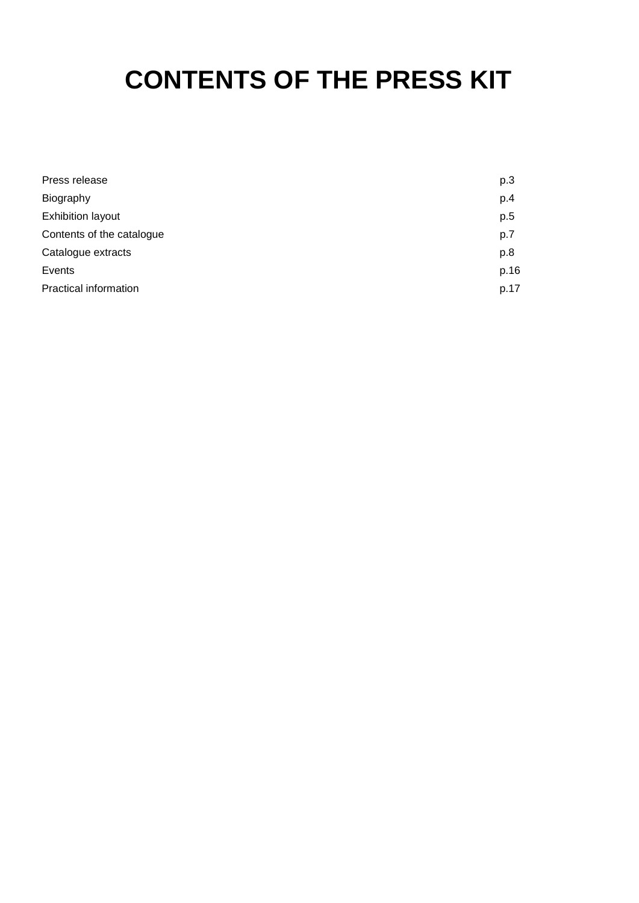# **CONTENTS OF THE PRESS KIT**

| Press release                | p.3  |
|------------------------------|------|
| Biography                    | p.4  |
| <b>Exhibition layout</b>     | p.5  |
| Contents of the catalogue    | p.7  |
| Catalogue extracts           | p.8  |
| Events                       | p.16 |
| <b>Practical information</b> | p.17 |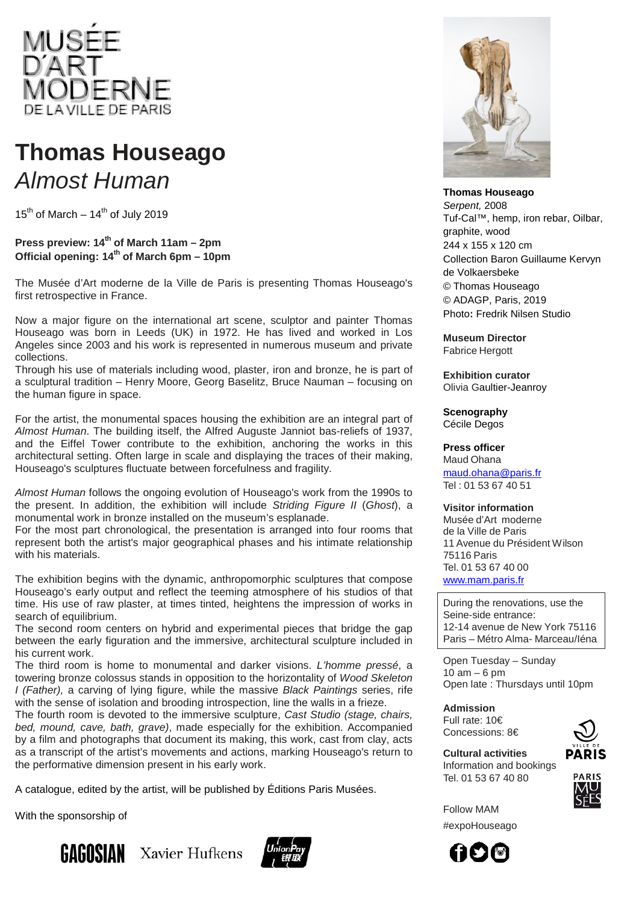

# **Thomas Houseago** *Almost Human*

 $15^{th}$  of March –  $14^{th}$  of July 2019

### **Press preview: 14th of March 11am – 2pm Official opening: 14th of March 6pm – 10pm**

The Musée d'Art moderne de la Ville de Paris is presenting Thomas Houseago's first retrospective in France.

Now a major figure on the international art scene, sculptor and painter Thomas Houseago was born in Leeds (UK) in 1972. He has lived and worked in Los Angeles since 2003 and his work is represented in numerous museum and private collections.

Through his use of materials including wood, plaster, iron and bronze, he is part of a sculptural tradition – Henry Moore, Georg Baselitz, Bruce Nauman – focusing on the human figure in space.

For the artist, the monumental spaces housing the exhibition are an integral part of *Almost Human*. The building itself, the Alfred Auguste Janniot bas-reliefs of 1937, and the Eiffel Tower contribute to the exhibition, anchoring the works in this architectural setting. Often large in scale and displaying the traces of their making, Houseago's sculptures fluctuate between forcefulness and fragility.

*Almost Human* follows the ongoing evolution of Houseago's work from the 1990s to the present. In addition, the exhibition will include *Striding Figure II* (*Ghost*), a monumental work in bronze installed on the museum's esplanade.

For the most part chronological, the presentation is arranged into four rooms that represent both the artist's major geographical phases and his intimate relationship with his materials.

The exhibition begins with the dynamic, anthropomorphic sculptures that compose Houseago's early output and reflect the teeming atmosphere of his studios of that time. His use of raw plaster, at times tinted, heightens the impression of works in search of equilibrium.

The second room centers on hybrid and experimental pieces that bridge the gap between the early figuration and the immersive, architectural sculpture included in his current work.

The third room is home to monumental and darker visions. *L'homme pressé*, a towering bronze colossus stands in opposition to the horizontality of *Wood Skeleton I (Father),* a carving of lying figure, while the massive *Black Paintings* series, rife with the sense of isolation and brooding introspection, line the walls in a frieze.

The fourth room is devoted to the immersive sculpture, *Cast Studio (stage, chairs, bed, mound, cave, bath, grave)*, made especially for the exhibition. Accompanied by a film and photographs that document its making, this work, cast from clay, acts as a transcript of the artist's movements and actions, marking Houseago's return to the performative dimension present in his early work.

A catalogue, edited by the artist, will be published by Éditions Paris Musées.

With the sponsorship of







**Thomas Houseago** *Serpent,* 2008 Tuf-Cal™, hemp, iron rebar, Oilbar, graphite, wood 244 x 155 x 120 cm Collection Baron Guillaume Kervyn de Volkaersbeke © Thomas Houseago © ADAGP, Paris, 2019 Photo**:** Fredrik Nilsen Studio

**Museum Director** Fabrice Hergott

**Exhibition curator** Olivia Gaultier-Jeanroy

**Scenography**

Cécile Degos

#### **Press officer**

Maud Ohana [maud.ohana@paris.fr](mailto:maud.ohana@paris.fr) Tel : 01 53 67 40 51

#### **Visitor information**

Musée d'Art moderne de la Ville de Paris 11 Avenue du Président Wilson 75116 Paris Tel. 01 53 67 40 00 [www.mam.paris.fr](http://www.mam.paris.fr/)

During the renovations, use the Seine-side entrance: 12-14 avenue de New York 75116 Paris – Métro Alma- Marceau/Iéna

Open Tuesday – Sunday 10 am – 6 pm Open late : Thursdays until 10pm

#### **Admission**

Full rate: 10€ Concessions: 8€

**Cultural activities** Information and bookings Tel. 01 53 67 40 80



Follow MAM #expoHouseago

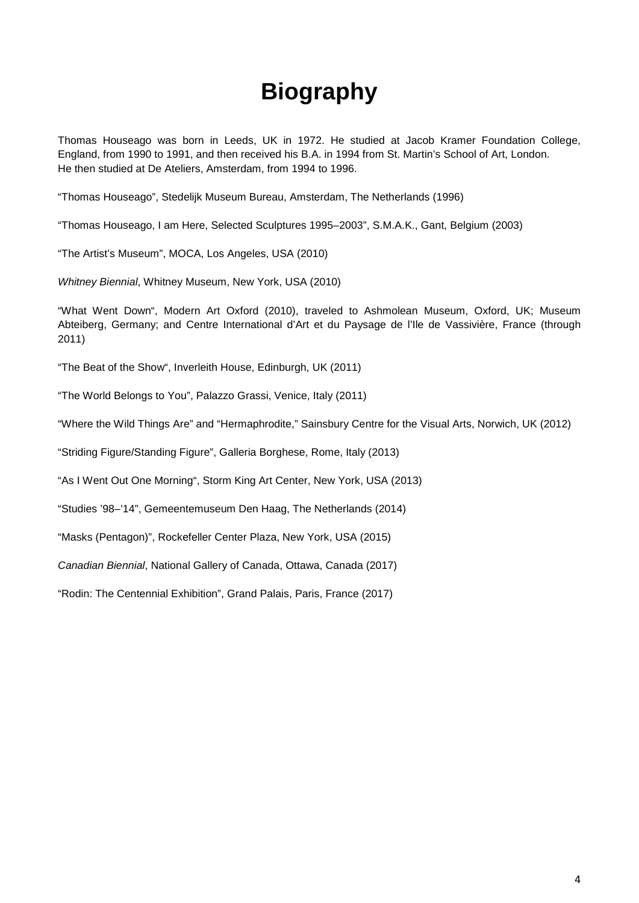# **Biography**

Thomas Houseago was born in Leeds, UK in 1972. He studied at Jacob Kramer Foundation College, England, from 1990 to 1991, and then received his B.A. in 1994 from St. Martin's School of Art, London. He then studied at De Ateliers, Amsterdam, from 1994 to 1996.

"Thomas Houseago", Stedelijk Museum Bureau, Amsterdam, The Netherlands (1996)

"Thomas Houseago, I am Here, Selected Sculptures 1995–2003", S.M.A.K., Gant, Belgium (2003)

"The Artist's Museum", MOCA, Los Angeles, USA (2010)

*Whitney Biennial*, Whitney Museum, New York, USA (2010)

"What Went Down", Modern Art Oxford (2010), traveled to Ashmolean Museum, Oxford, UK; Museum Abteiberg, Germany; and Centre International d'Art et du Paysage de l'Ile de Vassivière, France (through 2011)

"The Beat of the Show", Inverleith House, Edinburgh, UK (2011)

"The World Belongs to You", Palazzo Grassi, Venice, Italy (2011)

"Where the Wild Things Are" and "Hermaphrodite," Sainsbury Centre for the Visual Arts, Norwich, UK (2012)

"Striding Figure/Standing Figure", Galleria Borghese, Rome, Italy (2013)

"As I Went Out One Morning", Storm King Art Center, New York, USA (2013)

"Studies '98–'14", Gemeentemuseum Den Haag, The Netherlands (2014)

"Masks (Pentagon)", Rockefeller Center Plaza, New York, USA (2015)

*Canadian Biennial*, National Gallery of Canada, Ottawa, Canada (2017)

"Rodin: The Centennial Exhibition", Grand Palais, Paris, France (2017)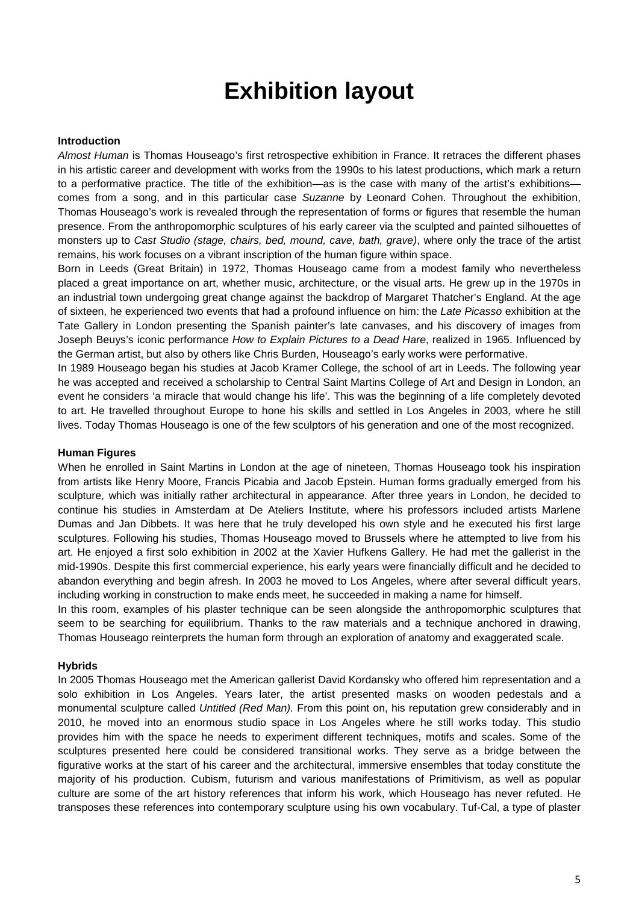# **Exhibition layout**

#### **Introduction**

*Almost Human* is Thomas Houseago's first retrospective exhibition in France. It retraces the different phases in his artistic career and development with works from the 1990s to his latest productions, which mark a return to a performative practice. The title of the exhibition—as is the case with many of the artist's exhibitions comes from a song, and in this particular case *Suzanne* by Leonard Cohen. Throughout the exhibition, Thomas Houseago's work is revealed through the representation of forms or figures that resemble the human presence. From the anthropomorphic sculptures of his early career via the sculpted and painted silhouettes of monsters up to *Cast Studio (stage, chairs, bed, mound, cave, bath, grave)*, where only the trace of the artist remains, his work focuses on a vibrant inscription of the human figure within space.

Born in Leeds (Great Britain) in 1972, Thomas Houseago came from a modest family who nevertheless placed a great importance on art, whether music, architecture, or the visual arts. He grew up in the 1970s in an industrial town undergoing great change against the backdrop of Margaret Thatcher's England. At the age of sixteen, he experienced two events that had a profound influence on him: the *Late Picasso* exhibition at the Tate Gallery in London presenting the Spanish painter's late canvases, and his discovery of images from Joseph Beuys's iconic performance *How to Explain Pictures to a Dead Hare*, realized in 1965. Influenced by the German artist, but also by others like Chris Burden, Houseago's early works were performative.

In 1989 Houseago began his studies at Jacob Kramer College, the school of art in Leeds. The following year he was accepted and received a scholarship to Central Saint Martins College of Art and Design in London, an event he considers 'a miracle that would change his life'. This was the beginning of a life completely devoted to art. He travelled throughout Europe to hone his skills and settled in Los Angeles in 2003, where he still lives. Today Thomas Houseago is one of the few sculptors of his generation and one of the most recognized.

#### **Human Figures**

When he enrolled in Saint Martins in London at the age of nineteen, Thomas Houseago took his inspiration from artists like Henry Moore, Francis Picabia and Jacob Epstein. Human forms gradually emerged from his sculpture, which was initially rather architectural in appearance. After three years in London, he decided to continue his studies in Amsterdam at De Ateliers Institute, where his professors included artists Marlene Dumas and Jan Dibbets. It was here that he truly developed his own style and he executed his first large sculptures. Following his studies, Thomas Houseago moved to Brussels where he attempted to live from his art. He enjoyed a first solo exhibition in 2002 at the Xavier Hufkens Gallery. He had met the gallerist in the mid-1990s. Despite this first commercial experience, his early years were financially difficult and he decided to abandon everything and begin afresh. In 2003 he moved to Los Angeles, where after several difficult years, including working in construction to make ends meet, he succeeded in making a name for himself.

In this room, examples of his plaster technique can be seen alongside the anthropomorphic sculptures that seem to be searching for equilibrium. Thanks to the raw materials and a technique anchored in drawing, Thomas Houseago reinterprets the human form through an exploration of anatomy and exaggerated scale.

#### **Hybrids**

In 2005 Thomas Houseago met the American gallerist David Kordansky who offered him representation and a solo exhibition in Los Angeles. Years later, the artist presented masks on wooden pedestals and a monumental sculpture called *Untitled (Red Man).* From this point on, his reputation grew considerably and in 2010, he moved into an enormous studio space in Los Angeles where he still works today. This studio provides him with the space he needs to experiment different techniques, motifs and scales. Some of the sculptures presented here could be considered transitional works. They serve as a bridge between the figurative works at the start of his career and the architectural, immersive ensembles that today constitute the majority of his production. Cubism, futurism and various manifestations of Primitivism, as well as popular culture are some of the art history references that inform his work, which Houseago has never refuted. He transposes these references into contemporary sculpture using his own vocabulary. Tuf-Cal, a type of plaster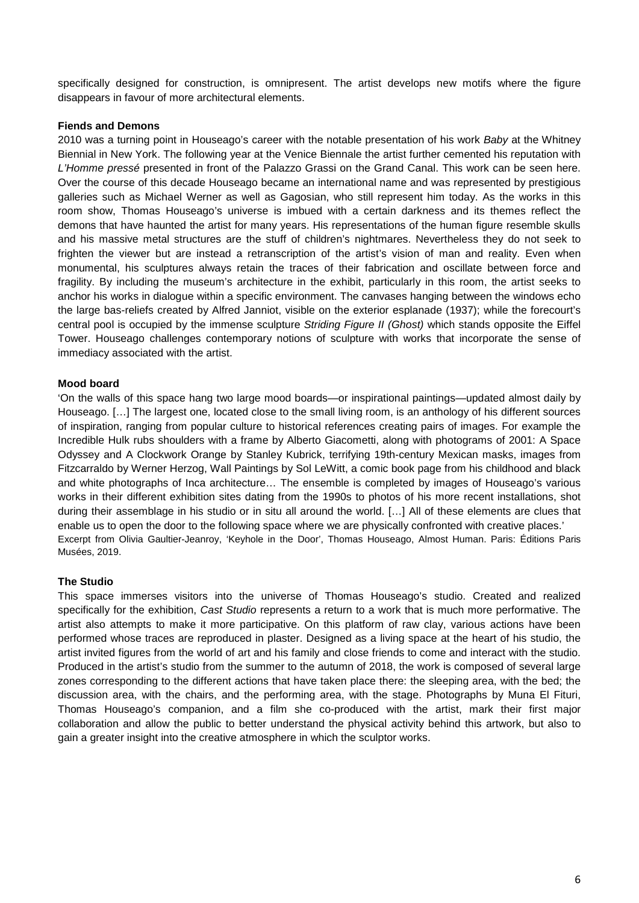specifically designed for construction, is omnipresent. The artist develops new motifs where the figure disappears in favour of more architectural elements.

#### **Fiends and Demons**

2010 was a turning point in Houseago's career with the notable presentation of his work *Baby* at the Whitney Biennial in New York. The following year at the Venice Biennale the artist further cemented his reputation with *L'Homme pressé* presented in front of the Palazzo Grassi on the Grand Canal. This work can be seen here. Over the course of this decade Houseago became an international name and was represented by prestigious galleries such as Michael Werner as well as Gagosian, who still represent him today. As the works in this room show, Thomas Houseago's universe is imbued with a certain darkness and its themes reflect the demons that have haunted the artist for many years. His representations of the human figure resemble skulls and his massive metal structures are the stuff of children's nightmares. Nevertheless they do not seek to frighten the viewer but are instead a retranscription of the artist's vision of man and reality. Even when monumental, his sculptures always retain the traces of their fabrication and oscillate between force and fragility. By including the museum's architecture in the exhibit, particularly in this room, the artist seeks to anchor his works in dialogue within a specific environment. The canvases hanging between the windows echo the large bas-reliefs created by Alfred Janniot, visible on the exterior esplanade (1937); while the forecourt's central pool is occupied by the immense sculpture *Striding Figure II (Ghost)* which stands opposite the Eiffel Tower. Houseago challenges contemporary notions of sculpture with works that incorporate the sense of immediacy associated with the artist.

#### **Mood board**

'On the walls of this space hang two large mood boards—or inspirational paintings—updated almost daily by Houseago. […] The largest one, located close to the small living room, is an anthology of his different sources of inspiration, ranging from popular culture to historical references creating pairs of images. For example the Incredible Hulk rubs shoulders with a frame by Alberto Giacometti, along with photograms of 2001: A Space Odyssey and A Clockwork Orange by Stanley Kubrick, terrifying 19th-century Mexican masks, images from Fitzcarraldo by Werner Herzog, Wall Paintings by Sol LeWitt, a comic book page from his childhood and black and white photographs of Inca architecture… The ensemble is completed by images of Houseago's various works in their different exhibition sites dating from the 1990s to photos of his more recent installations, shot during their assemblage in his studio or in situ all around the world. […] All of these elements are clues that enable us to open the door to the following space where we are physically confronted with creative places.' Excerpt from Olivia Gaultier-Jeanroy, 'Keyhole in the Door', Thomas Houseago, Almost Human. Paris: Éditions Paris Musées, 2019.

#### **The Studio**

This space immerses visitors into the universe of Thomas Houseago's studio. Created and realized specifically for the exhibition, *Cast Studio* represents a return to a work that is much more performative. The artist also attempts to make it more participative. On this platform of raw clay, various actions have been performed whose traces are reproduced in plaster. Designed as a living space at the heart of his studio, the artist invited figures from the world of art and his family and close friends to come and interact with the studio. Produced in the artist's studio from the summer to the autumn of 2018, the work is composed of several large zones corresponding to the different actions that have taken place there: the sleeping area, with the bed; the discussion area, with the chairs, and the performing area, with the stage. Photographs by Muna El Fituri, Thomas Houseago's companion, and a film she co-produced with the artist, mark their first major collaboration and allow the public to better understand the physical activity behind this artwork, but also to gain a greater insight into the creative atmosphere in which the sculptor works.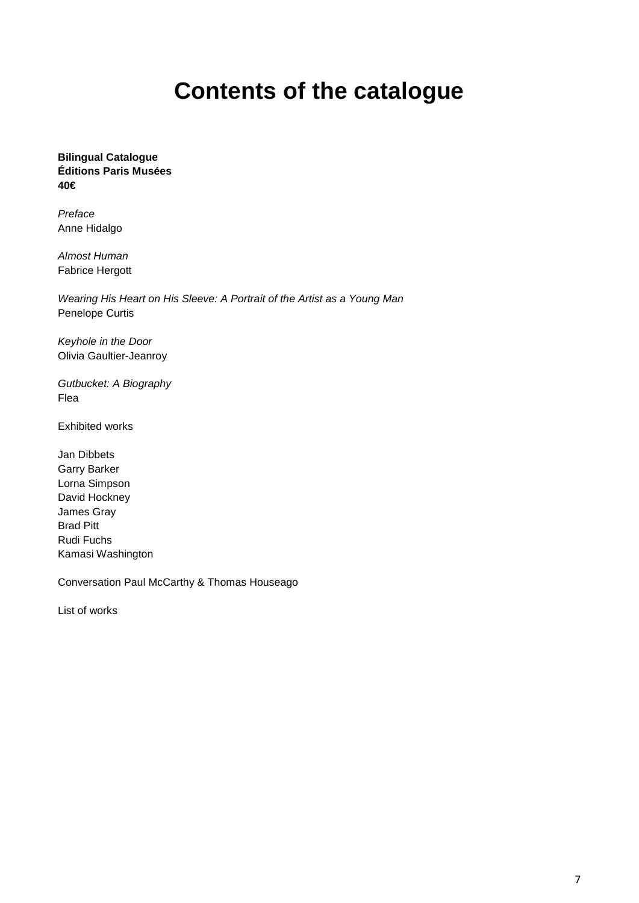# **Contents of the catalogue**

**Bilingual Catalogue Éditions Paris Musées 40€**

*Preface* Anne Hidalgo

*Almost Human* Fabrice Hergott

*Wearing His Heart on His Sleeve: A Portrait of the Artist as a Young Man* Penelope Curtis

*Keyhole in the Door* Olivia Gaultier-Jeanroy

*Gutbucket: A Biography* Flea

Exhibited works

Jan Dibbets Garry Barker Lorna Simpson David Hockney James Gray Brad Pitt Rudi Fuchs Kamasi Washington

Conversation Paul McCarthy & Thomas Houseago

List of works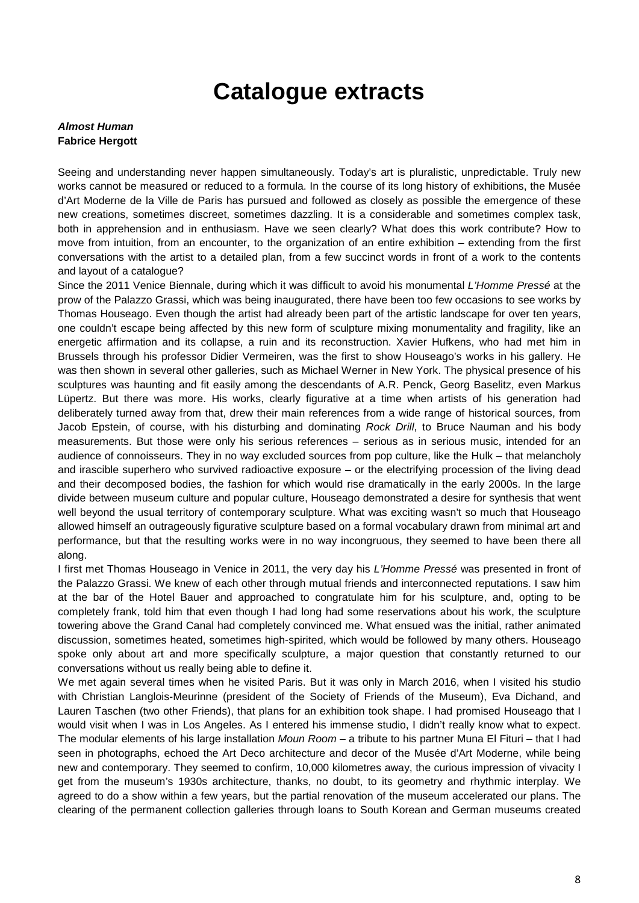### **Catalogue extracts**

#### *Almost Human* **Fabrice Hergott**

Seeing and understanding never happen simultaneously. Today's art is pluralistic, unpredictable. Truly new works cannot be measured or reduced to a formula. In the course of its long history of exhibitions, the Musée d'Art Moderne de la Ville de Paris has pursued and followed as closely as possible the emergence of these new creations, sometimes discreet, sometimes dazzling. It is a considerable and sometimes complex task, both in apprehension and in enthusiasm. Have we seen clearly? What does this work contribute? How to move from intuition, from an encounter, to the organization of an entire exhibition – extending from the first conversations with the artist to a detailed plan, from a few succinct words in front of a work to the contents and layout of a catalogue?

Since the 2011 Venice Biennale, during which it was difficult to avoid his monumental *L'Homme Pressé* at the prow of the Palazzo Grassi, which was being inaugurated, there have been too few occasions to see works by Thomas Houseago. Even though the artist had already been part of the artistic landscape for over ten years, one couldn't escape being affected by this new form of sculpture mixing monumentality and fragility, like an energetic affirmation and its collapse, a ruin and its reconstruction. Xavier Hufkens, who had met him in Brussels through his professor Didier Vermeiren, was the first to show Houseago's works in his gallery. He was then shown in several other galleries, such as Michael Werner in New York. The physical presence of his sculptures was haunting and fit easily among the descendants of A.R. Penck, Georg Baselitz, even Markus Lüpertz. But there was more. His works, clearly figurative at a time when artists of his generation had deliberately turned away from that, drew their main references from a wide range of historical sources, from Jacob Epstein, of course, with his disturbing and dominating *Rock Drill*, to Bruce Nauman and his body measurements. But those were only his serious references – serious as in serious music, intended for an audience of connoisseurs. They in no way excluded sources from pop culture, like the Hulk – that melancholy and irascible superhero who survived radioactive exposure – or the electrifying procession of the living dead and their decomposed bodies, the fashion for which would rise dramatically in the early 2000s. In the large divide between museum culture and popular culture, Houseago demonstrated a desire for synthesis that went well beyond the usual territory of contemporary sculpture. What was exciting wasn't so much that Houseago allowed himself an outrageously figurative sculpture based on a formal vocabulary drawn from minimal art and performance, but that the resulting works were in no way incongruous, they seemed to have been there all along.

I first met Thomas Houseago in Venice in 2011, the very day his *L'Homme Pressé* was presented in front of the Palazzo Grassi. We knew of each other through mutual friends and interconnected reputations. I saw him at the bar of the Hotel Bauer and approached to congratulate him for his sculpture, and, opting to be completely frank, told him that even though I had long had some reservations about his work, the sculpture towering above the Grand Canal had completely convinced me. What ensued was the initial, rather animated discussion, sometimes heated, sometimes high-spirited, which would be followed by many others. Houseago spoke only about art and more specifically sculpture, a major question that constantly returned to our conversations without us really being able to define it.

We met again several times when he visited Paris. But it was only in March 2016, when I visited his studio with Christian Langlois-Meurinne (president of the Society of Friends of the Museum), Eva Dichand, and Lauren Taschen (two other Friends), that plans for an exhibition took shape. I had promised Houseago that I would visit when I was in Los Angeles. As I entered his immense studio, I didn't really know what to expect. The modular elements of his large installation *Moun Room* – a tribute to his partner Muna El Fituri – that I had seen in photographs, echoed the Art Deco architecture and decor of the Musée d'Art Moderne, while being new and contemporary. They seemed to confirm, 10,000 kilometres away, the curious impression of vivacity I get from the museum's 1930s architecture, thanks, no doubt, to its geometry and rhythmic interplay. We agreed to do a show within a few years, but the partial renovation of the museum accelerated our plans. The clearing of the permanent collection galleries through loans to South Korean and German museums created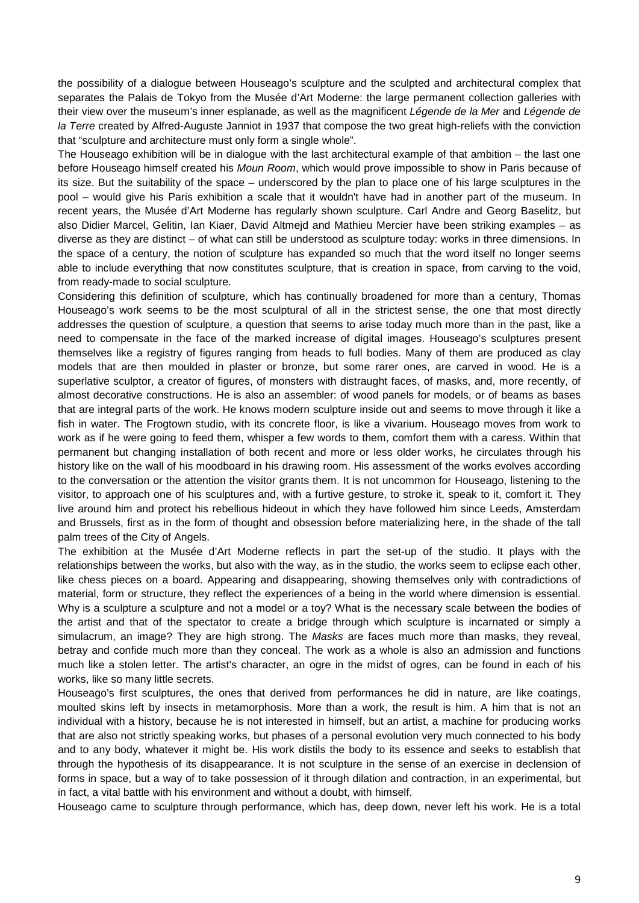the possibility of a dialogue between Houseago's sculpture and the sculpted and architectural complex that separates the Palais de Tokyo from the Musée d'Art Moderne: the large permanent collection galleries with their view over the museum's inner esplanade, as well as the magnificent *Légende de la Mer* and *Légende de la Terre* created by Alfred-Auguste Janniot in 1937 that compose the two great high-reliefs with the conviction that "sculpture and architecture must only form a single whole".

The Houseago exhibition will be in dialogue with the last architectural example of that ambition – the last one before Houseago himself created his *Moun Room*, which would prove impossible to show in Paris because of its size. But the suitability of the space – underscored by the plan to place one of his large sculptures in the pool – would give his Paris exhibition a scale that it wouldn't have had in another part of the museum. In recent years, the Musée d'Art Moderne has regularly shown sculpture. Carl Andre and Georg Baselitz, but also Didier Marcel, Gelitin, Ian Kiaer, David Altmejd and Mathieu Mercier have been striking examples – as diverse as they are distinct – of what can still be understood as sculpture today: works in three dimensions. In the space of a century, the notion of sculpture has expanded so much that the word itself no longer seems able to include everything that now constitutes sculpture, that is creation in space, from carving to the void, from ready-made to social sculpture.

Considering this definition of sculpture, which has continually broadened for more than a century, Thomas Houseago's work seems to be the most sculptural of all in the strictest sense, the one that most directly addresses the question of sculpture, a question that seems to arise today much more than in the past, like a need to compensate in the face of the marked increase of digital images. Houseago's sculptures present themselves like a registry of figures ranging from heads to full bodies. Many of them are produced as clay models that are then moulded in plaster or bronze, but some rarer ones, are carved in wood. He is a superlative sculptor, a creator of figures, of monsters with distraught faces, of masks, and, more recently, of almost decorative constructions. He is also an assembler: of wood panels for models, or of beams as bases that are integral parts of the work. He knows modern sculpture inside out and seems to move through it like a fish in water. The Frogtown studio, with its concrete floor, is like a vivarium. Houseago moves from work to work as if he were going to feed them, whisper a few words to them, comfort them with a caress. Within that permanent but changing installation of both recent and more or less older works, he circulates through his history like on the wall of his moodboard in his drawing room. His assessment of the works evolves according to the conversation or the attention the visitor grants them. It is not uncommon for Houseago, listening to the visitor, to approach one of his sculptures and, with a furtive gesture, to stroke it, speak to it, comfort it. They live around him and protect his rebellious hideout in which they have followed him since Leeds, Amsterdam and Brussels, first as in the form of thought and obsession before materializing here, in the shade of the tall palm trees of the City of Angels.

The exhibition at the Musée d'Art Moderne reflects in part the set-up of the studio. It plays with the relationships between the works, but also with the way, as in the studio, the works seem to eclipse each other, like chess pieces on a board. Appearing and disappearing, showing themselves only with contradictions of material, form or structure, they reflect the experiences of a being in the world where dimension is essential. Why is a sculpture a sculpture and not a model or a toy? What is the necessary scale between the bodies of the artist and that of the spectator to create a bridge through which sculpture is incarnated or simply a simulacrum, an image? They are high strong. The *Masks* are faces much more than masks, they reveal, betray and confide much more than they conceal. The work as a whole is also an admission and functions much like a stolen letter. The artist's character, an ogre in the midst of ogres, can be found in each of his works, like so many little secrets.

Houseago's first sculptures, the ones that derived from performances he did in nature, are like coatings, moulted skins left by insects in metamorphosis. More than a work, the result is him. A him that is not an individual with a history, because he is not interested in himself, but an artist, a machine for producing works that are also not strictly speaking works, but phases of a personal evolution very much connected to his body and to any body, whatever it might be. His work distils the body to its essence and seeks to establish that through the hypothesis of its disappearance. It is not sculpture in the sense of an exercise in declension of forms in space, but a way of to take possession of it through dilation and contraction, in an experimental, but in fact, a vital battle with his environment and without a doubt, with himself.

Houseago came to sculpture through performance, which has, deep down, never left his work. He is a total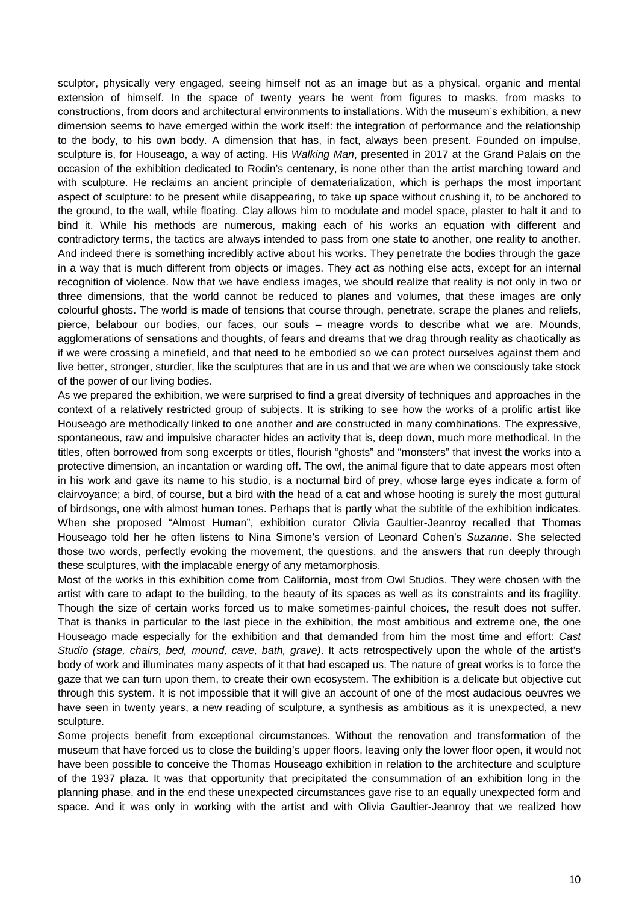sculptor, physically very engaged, seeing himself not as an image but as a physical, organic and mental extension of himself. In the space of twenty years he went from figures to masks, from masks to constructions, from doors and architectural environments to installations. With the museum's exhibition, a new dimension seems to have emerged within the work itself: the integration of performance and the relationship to the body, to his own body. A dimension that has, in fact, always been present. Founded on impulse, sculpture is, for Houseago, a way of acting. His *Walking Man*, presented in 2017 at the Grand Palais on the occasion of the exhibition dedicated to Rodin's centenary, is none other than the artist marching toward and with sculpture. He reclaims an ancient principle of dematerialization, which is perhaps the most important aspect of sculpture: to be present while disappearing, to take up space without crushing it, to be anchored to the ground, to the wall, while floating. Clay allows him to modulate and model space, plaster to halt it and to bind it. While his methods are numerous, making each of his works an equation with different and contradictory terms, the tactics are always intended to pass from one state to another, one reality to another. And indeed there is something incredibly active about his works. They penetrate the bodies through the gaze in a way that is much different from objects or images. They act as nothing else acts, except for an internal recognition of violence. Now that we have endless images, we should realize that reality is not only in two or three dimensions, that the world cannot be reduced to planes and volumes, that these images are only colourful ghosts. The world is made of tensions that course through, penetrate, scrape the planes and reliefs, pierce, belabour our bodies, our faces, our souls – meagre words to describe what we are. Mounds, agglomerations of sensations and thoughts, of fears and dreams that we drag through reality as chaotically as if we were crossing a minefield, and that need to be embodied so we can protect ourselves against them and live better, stronger, sturdier, like the sculptures that are in us and that we are when we consciously take stock of the power of our living bodies.

As we prepared the exhibition, we were surprised to find a great diversity of techniques and approaches in the context of a relatively restricted group of subjects. It is striking to see how the works of a prolific artist like Houseago are methodically linked to one another and are constructed in many combinations. The expressive, spontaneous, raw and impulsive character hides an activity that is, deep down, much more methodical. In the titles, often borrowed from song excerpts or titles, flourish "ghosts" and "monsters" that invest the works into a protective dimension, an incantation or warding off. The owl, the animal figure that to date appears most often in his work and gave its name to his studio, is a nocturnal bird of prey, whose large eyes indicate a form of clairvoyance; a bird, of course, but a bird with the head of a cat and whose hooting is surely the most guttural of birdsongs, one with almost human tones. Perhaps that is partly what the subtitle of the exhibition indicates. When she proposed "Almost Human", exhibition curator Olivia Gaultier-Jeanroy recalled that Thomas Houseago told her he often listens to Nina Simone's version of Leonard Cohen's *Suzanne*. She selected those two words, perfectly evoking the movement, the questions, and the answers that run deeply through these sculptures, with the implacable energy of any metamorphosis.

Most of the works in this exhibition come from California, most from Owl Studios. They were chosen with the artist with care to adapt to the building, to the beauty of its spaces as well as its constraints and its fragility. Though the size of certain works forced us to make sometimes-painful choices, the result does not suffer. That is thanks in particular to the last piece in the exhibition, the most ambitious and extreme one, the one Houseago made especially for the exhibition and that demanded from him the most time and effort: *Cast Studio (stage, chairs, bed, mound, cave, bath, grave)*. It acts retrospectively upon the whole of the artist's body of work and illuminates many aspects of it that had escaped us. The nature of great works is to force the gaze that we can turn upon them, to create their own ecosystem. The exhibition is a delicate but objective cut through this system. It is not impossible that it will give an account of one of the most audacious oeuvres we have seen in twenty years, a new reading of sculpture, a synthesis as ambitious as it is unexpected, a new sculpture.

Some projects benefit from exceptional circumstances. Without the renovation and transformation of the museum that have forced us to close the building's upper floors, leaving only the lower floor open, it would not have been possible to conceive the Thomas Houseago exhibition in relation to the architecture and sculpture of the 1937 plaza. It was that opportunity that precipitated the consummation of an exhibition long in the planning phase, and in the end these unexpected circumstances gave rise to an equally unexpected form and space. And it was only in working with the artist and with Olivia Gaultier-Jeanroy that we realized how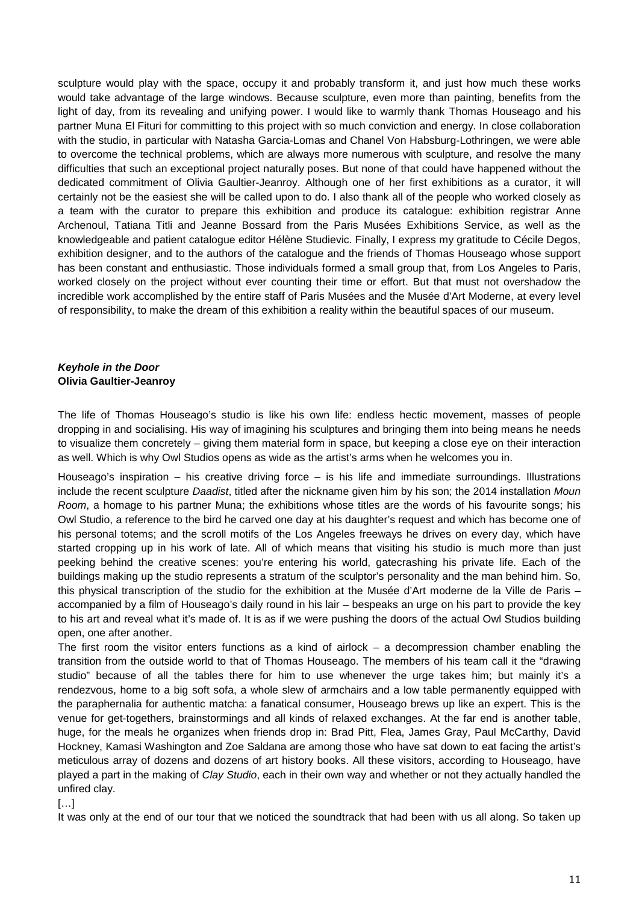sculpture would play with the space, occupy it and probably transform it, and just how much these works would take advantage of the large windows. Because sculpture, even more than painting, benefits from the light of day, from its revealing and unifying power. I would like to warmly thank Thomas Houseago and his partner Muna El Fituri for committing to this project with so much conviction and energy. In close collaboration with the studio, in particular with Natasha Garcia-Lomas and Chanel Von Habsburg-Lothringen, we were able to overcome the technical problems, which are always more numerous with sculpture, and resolve the many difficulties that such an exceptional project naturally poses. But none of that could have happened without the dedicated commitment of Olivia Gaultier-Jeanroy. Although one of her first exhibitions as a curator, it will certainly not be the easiest she will be called upon to do. I also thank all of the people who worked closely as a team with the curator to prepare this exhibition and produce its catalogue: exhibition registrar Anne Archenoul, Tatiana Titli and Jeanne Bossard from the Paris Musées Exhibitions Service, as well as the knowledgeable and patient catalogue editor Hélène Studievic. Finally, I express my gratitude to Cécile Degos, exhibition designer, and to the authors of the catalogue and the friends of Thomas Houseago whose support has been constant and enthusiastic. Those individuals formed a small group that, from Los Angeles to Paris, worked closely on the project without ever counting their time or effort. But that must not overshadow the incredible work accomplished by the entire staff of Paris Musées and the Musée d'Art Moderne, at every level of responsibility, to make the dream of this exhibition a reality within the beautiful spaces of our museum.

### *Keyhole in the Door* **Olivia Gaultier-Jeanroy**

The life of Thomas Houseago's studio is like his own life: endless hectic movement, masses of people dropping in and socialising. His way of imagining his sculptures and bringing them into being means he needs to visualize them concretely – giving them material form in space, but keeping a close eye on their interaction as well. Which is why Owl Studios opens as wide as the artist's arms when he welcomes you in.

Houseago's inspiration – his creative driving force – is his life and immediate surroundings. Illustrations include the recent sculpture *Daadist*, titled after the nickname given him by his son; the 2014 installation *Moun Room*, a homage to his partner Muna; the exhibitions whose titles are the words of his favourite songs; his Owl Studio, a reference to the bird he carved one day at his daughter's request and which has become one of his personal totems; and the scroll motifs of the Los Angeles freeways he drives on every day, which have started cropping up in his work of late. All of which means that visiting his studio is much more than just peeking behind the creative scenes: you're entering his world, gatecrashing his private life. Each of the buildings making up the studio represents a stratum of the sculptor's personality and the man behind him. So, this physical transcription of the studio for the exhibition at the Musée d'Art moderne de la Ville de Paris – accompanied by a film of Houseago's daily round in his lair – bespeaks an urge on his part to provide the key to his art and reveal what it's made of. It is as if we were pushing the doors of the actual Owl Studios building open, one after another.

The first room the visitor enters functions as a kind of airlock – a decompression chamber enabling the transition from the outside world to that of Thomas Houseago. The members of his team call it the "drawing studio" because of all the tables there for him to use whenever the urge takes him; but mainly it's a rendezvous, home to a big soft sofa, a whole slew of armchairs and a low table permanently equipped with the paraphernalia for authentic matcha: a fanatical consumer, Houseago brews up like an expert. This is the venue for get-togethers, brainstormings and all kinds of relaxed exchanges. At the far end is another table, huge, for the meals he organizes when friends drop in: Brad Pitt, Flea, James Gray, Paul McCarthy, David Hockney, Kamasi Washington and Zoe Saldana are among those who have sat down to eat facing the artist's meticulous array of dozens and dozens of art history books. All these visitors, according to Houseago, have played a part in the making of *Clay Studio*, each in their own way and whether or not they actually handled the unfired clay.

[…]

It was only at the end of our tour that we noticed the soundtrack that had been with us all along. So taken up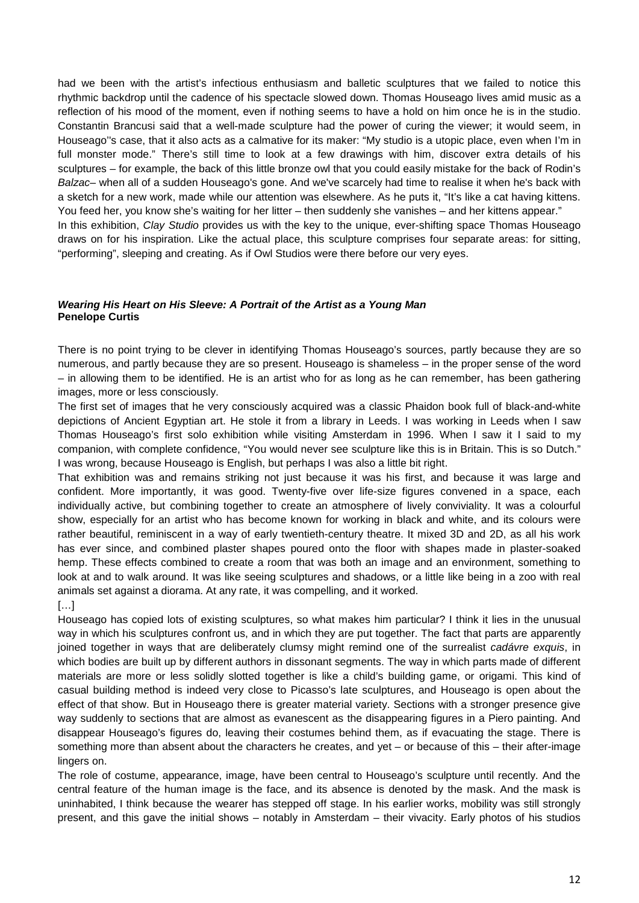had we been with the artist's infectious enthusiasm and balletic sculptures that we failed to notice this rhythmic backdrop until the cadence of his spectacle slowed down. Thomas Houseago lives amid music as a reflection of his mood of the moment, even if nothing seems to have a hold on him once he is in the studio. Constantin Brancusi said that a well-made sculpture had the power of curing the viewer; it would seem, in Houseago''s case, that it also acts as a calmative for its maker: "My studio is a utopic place, even when I'm in full monster mode." There's still time to look at a few drawings with him, discover extra details of his sculptures – for example, the back of this little bronze owl that you could easily mistake for the back of Rodin's *Balzac*– when all of a sudden Houseago's gone. And we've scarcely had time to realise it when he's back with a sketch for a new work, made while our attention was elsewhere. As he puts it, "It's like a cat having kittens. You feed her, you know she's waiting for her litter – then suddenly she vanishes – and her kittens appear." In this exhibition, *Clay Studio* provides us with the key to the unique, ever-shifting space Thomas Houseago draws on for his inspiration. Like the actual place, this sculpture comprises four separate areas: for sitting, "performing", sleeping and creating. As if Owl Studios were there before our very eyes.

#### *Wearing His Heart on His Sleeve: A Portrait of the Artist as a Young Man* **Penelope Curtis**

There is no point trying to be clever in identifying Thomas Houseago's sources, partly because they are so numerous, and partly because they are so present. Houseago is shameless – in the proper sense of the word – in allowing them to be identified. He is an artist who for as long as he can remember, has been gathering images, more or less consciously.

The first set of images that he very consciously acquired was a classic Phaidon book full of black-and-white depictions of Ancient Egyptian art. He stole it from a library in Leeds. I was working in Leeds when I saw Thomas Houseago's first solo exhibition while visiting Amsterdam in 1996. When I saw it I said to my companion, with complete confidence, "You would never see sculpture like this is in Britain. This is so Dutch." I was wrong, because Houseago is English, but perhaps I was also a little bit right.

That exhibition was and remains striking not just because it was his first, and because it was large and confident. More importantly, it was good. Twenty-five over life-size figures convened in a space, each individually active, but combining together to create an atmosphere of lively conviviality. It was a colourful show, especially for an artist who has become known for working in black and white, and its colours were rather beautiful, reminiscent in a way of early twentieth-century theatre. It mixed 3D and 2D, as all his work has ever since, and combined plaster shapes poured onto the floor with shapes made in plaster-soaked hemp. These effects combined to create a room that was both an image and an environment, something to look at and to walk around. It was like seeing sculptures and shadows, or a little like being in a zoo with real animals set against a diorama. At any rate, it was compelling, and it worked.

[…]

Houseago has copied lots of existing sculptures, so what makes him particular? I think it lies in the unusual way in which his sculptures confront us, and in which they are put together. The fact that parts are apparently joined together in ways that are deliberately clumsy might remind one of the surrealist *cadávre exquis*, in which bodies are built up by different authors in dissonant segments. The way in which parts made of different materials are more or less solidly slotted together is like a child's building game, or origami. This kind of casual building method is indeed very close to Picasso's late sculptures, and Houseago is open about the effect of that show. But in Houseago there is greater material variety. Sections with a stronger presence give way suddenly to sections that are almost as evanescent as the disappearing figures in a Piero painting. And disappear Houseago's figures do, leaving their costumes behind them, as if evacuating the stage. There is something more than absent about the characters he creates, and yet – or because of this – their after-image lingers on.

The role of costume, appearance, image, have been central to Houseago's sculpture until recently. And the central feature of the human image is the face, and its absence is denoted by the mask. And the mask is uninhabited, I think because the wearer has stepped off stage. In his earlier works, mobility was still strongly present, and this gave the initial shows – notably in Amsterdam – their vivacity. Early photos of his studios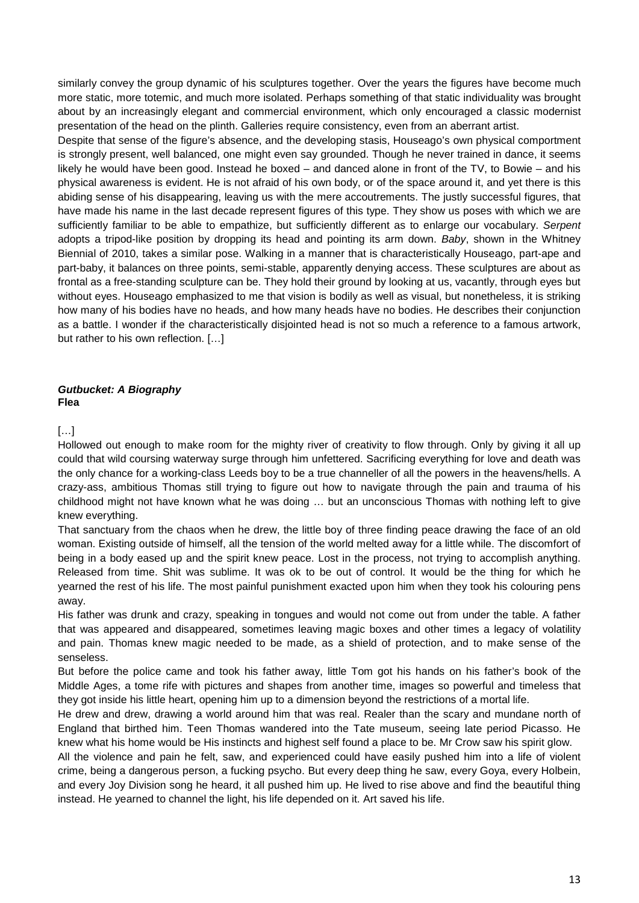similarly convey the group dynamic of his sculptures together. Over the years the figures have become much more static, more totemic, and much more isolated. Perhaps something of that static individuality was brought about by an increasingly elegant and commercial environment, which only encouraged a classic modernist presentation of the head on the plinth. Galleries require consistency, even from an aberrant artist.

Despite that sense of the figure's absence, and the developing stasis, Houseago's own physical comportment is strongly present, well balanced, one might even say grounded. Though he never trained in dance, it seems likely he would have been good. Instead he boxed – and danced alone in front of the TV, to Bowie – and his physical awareness is evident. He is not afraid of his own body, or of the space around it, and yet there is this abiding sense of his disappearing, leaving us with the mere accoutrements. The justly successful figures, that have made his name in the last decade represent figures of this type. They show us poses with which we are sufficiently familiar to be able to empathize, but sufficiently different as to enlarge our vocabulary. *Serpent* adopts a tripod-like position by dropping its head and pointing its arm down. *Baby*, shown in the Whitney Biennial of 2010, takes a similar pose. Walking in a manner that is characteristically Houseago, part-ape and part-baby, it balances on three points, semi-stable, apparently denying access. These sculptures are about as frontal as a free-standing sculpture can be. They hold their ground by looking at us, vacantly, through eyes but without eyes. Houseago emphasized to me that vision is bodily as well as visual, but nonetheless, it is striking how many of his bodies have no heads, and how many heads have no bodies. He describes their conjunction as a battle. I wonder if the characteristically disjointed head is not so much a reference to a famous artwork, but rather to his own reflection. […]

#### *Gutbucket: A Biography* **Flea**

#### […]

Hollowed out enough to make room for the mighty river of creativity to flow through. Only by giving it all up could that wild coursing waterway surge through him unfettered. Sacrificing everything for love and death was the only chance for a working-class Leeds boy to be a true channeller of all the powers in the heavens/hells. A crazy-ass, ambitious Thomas still trying to figure out how to navigate through the pain and trauma of his childhood might not have known what he was doing … but an unconscious Thomas with nothing left to give knew everything.

That sanctuary from the chaos when he drew, the little boy of three finding peace drawing the face of an old woman. Existing outside of himself, all the tension of the world melted away for a little while. The discomfort of being in a body eased up and the spirit knew peace. Lost in the process, not trying to accomplish anything. Released from time. Shit was sublime. It was ok to be out of control. It would be the thing for which he yearned the rest of his life. The most painful punishment exacted upon him when they took his colouring pens away.

His father was drunk and crazy, speaking in tongues and would not come out from under the table. A father that was appeared and disappeared, sometimes leaving magic boxes and other times a legacy of volatility and pain. Thomas knew magic needed to be made, as a shield of protection, and to make sense of the senseless.

But before the police came and took his father away, little Tom got his hands on his father's book of the Middle Ages, a tome rife with pictures and shapes from another time, images so powerful and timeless that they got inside his little heart, opening him up to a dimension beyond the restrictions of a mortal life.

He drew and drew, drawing a world around him that was real. Realer than the scary and mundane north of England that birthed him. Teen Thomas wandered into the Tate museum, seeing late period Picasso. He knew what his home would be His instincts and highest self found a place to be. Mr Crow saw his spirit glow.

All the violence and pain he felt, saw, and experienced could have easily pushed him into a life of violent crime, being a dangerous person, a fucking psycho. But every deep thing he saw, every Goya, every Holbein, and every Joy Division song he heard, it all pushed him up. He lived to rise above and find the beautiful thing instead. He yearned to channel the light, his life depended on it. Art saved his life.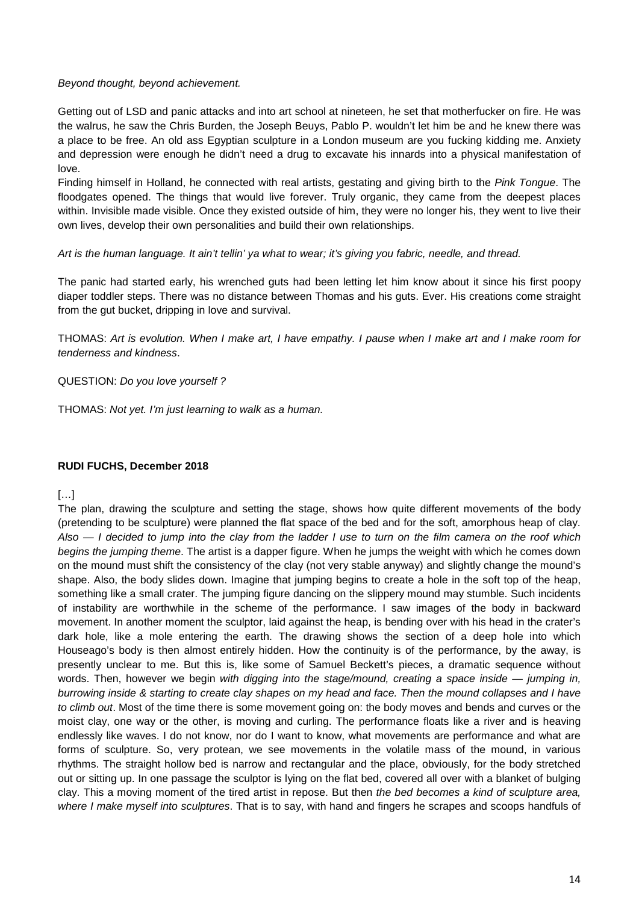#### *Beyond thought, beyond achievement.*

Getting out of LSD and panic attacks and into art school at nineteen, he set that motherfucker on fire. He was the walrus, he saw the Chris Burden, the Joseph Beuys, Pablo P. wouldn't let him be and he knew there was a place to be free. An old ass Egyptian sculpture in a London museum are you fucking kidding me. Anxiety and depression were enough he didn't need a drug to excavate his innards into a physical manifestation of love.

Finding himself in Holland, he connected with real artists, gestating and giving birth to the *Pink Tongue*. The floodgates opened. The things that would live forever. Truly organic, they came from the deepest places within. Invisible made visible. Once they existed outside of him, they were no longer his, they went to live their own lives, develop their own personalities and build their own relationships.

#### *Art is the human language. It ain't tellin' ya what to wear; it's giving you fabric, needle, and thread.*

The panic had started early, his wrenched guts had been letting let him know about it since his first poopy diaper toddler steps. There was no distance between Thomas and his guts. Ever. His creations come straight from the gut bucket, dripping in love and survival.

THOMAS: *Art is evolution. When I make art, I have empathy. I pause when I make art and I make room for tenderness and kindness*.

#### QUESTION: *Do you love yourself ?*

THOMAS: *Not yet. I'm just learning to walk as a human.*

#### **RUDI FUCHS, December 2018**

[…]

The plan, drawing the sculpture and setting the stage, shows how quite different movements of the body (pretending to be sculpture) were planned the flat space of the bed and for the soft, amorphous heap of clay. *Also — I decided to jump into the clay from the ladder I use to turn on the film camera on the roof which begins the jumping theme*. The artist is a dapper figure. When he jumps the weight with which he comes down on the mound must shift the consistency of the clay (not very stable anyway) and slightly change the mound's shape. Also, the body slides down. Imagine that jumping begins to create a hole in the soft top of the heap, something like a small crater. The jumping figure dancing on the slippery mound may stumble. Such incidents of instability are worthwhile in the scheme of the performance. I saw images of the body in backward movement. In another moment the sculptor, laid against the heap, is bending over with his head in the crater's dark hole, like a mole entering the earth. The drawing shows the section of a deep hole into which Houseago's body is then almost entirely hidden. How the continuity is of the performance, by the away, is presently unclear to me. But this is, like some of Samuel Beckett's pieces, a dramatic sequence without words. Then, however we begin *with digging into the stage/mound, creating a space inside — jumping in, burrowing inside & starting to create clay shapes on my head and face. Then the mound collapses and I have to climb out*. Most of the time there is some movement going on: the body moves and bends and curves or the moist clay, one way or the other, is moving and curling. The performance floats like a river and is heaving endlessly like waves. I do not know, nor do I want to know, what movements are performance and what are forms of sculpture. So, very protean, we see movements in the volatile mass of the mound, in various rhythms. The straight hollow bed is narrow and rectangular and the place, obviously, for the body stretched out or sitting up. In one passage the sculptor is lying on the flat bed, covered all over with a blanket of bulging clay. This a moving moment of the tired artist in repose. But then *the bed becomes a kind of sculpture area, where I make myself into sculptures*. That is to say, with hand and fingers he scrapes and scoops handfuls of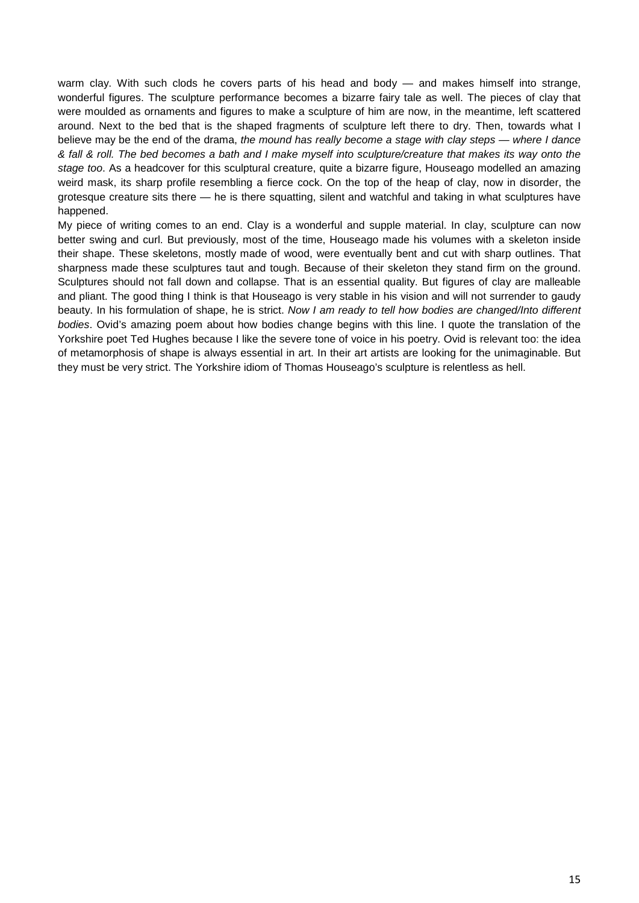warm clay. With such clods he covers parts of his head and body — and makes himself into strange, wonderful figures. The sculpture performance becomes a bizarre fairy tale as well. The pieces of clay that were moulded as ornaments and figures to make a sculpture of him are now, in the meantime, left scattered around. Next to the bed that is the shaped fragments of sculpture left there to dry. Then, towards what I believe may be the end of the drama, *the mound has really become a stage with clay steps — where I dance & fall & roll. The bed becomes a bath and I make myself into sculpture/creature that makes its way onto the stage too*. As a headcover for this sculptural creature, quite a bizarre figure, Houseago modelled an amazing weird mask, its sharp profile resembling a fierce cock. On the top of the heap of clay, now in disorder, the grotesque creature sits there — he is there squatting, silent and watchful and taking in what sculptures have happened.

My piece of writing comes to an end. Clay is a wonderful and supple material. In clay, sculpture can now better swing and curl. But previously, most of the time, Houseago made his volumes with a skeleton inside their shape. These skeletons, mostly made of wood, were eventually bent and cut with sharp outlines. That sharpness made these sculptures taut and tough. Because of their skeleton they stand firm on the ground. Sculptures should not fall down and collapse. That is an essential quality. But figures of clay are malleable and pliant. The good thing I think is that Houseago is very stable in his vision and will not surrender to gaudy beauty. In his formulation of shape, he is strict. *Now I am ready to tell how bodies are changed/Into different bodies*. Ovid's amazing poem about how bodies change begins with this line. I quote the translation of the Yorkshire poet Ted Hughes because I like the severe tone of voice in his poetry. Ovid is relevant too: the idea of metamorphosis of shape is always essential in art. In their art artists are looking for the unimaginable. But they must be very strict. The Yorkshire idiom of Thomas Houseago's sculpture is relentless as hell.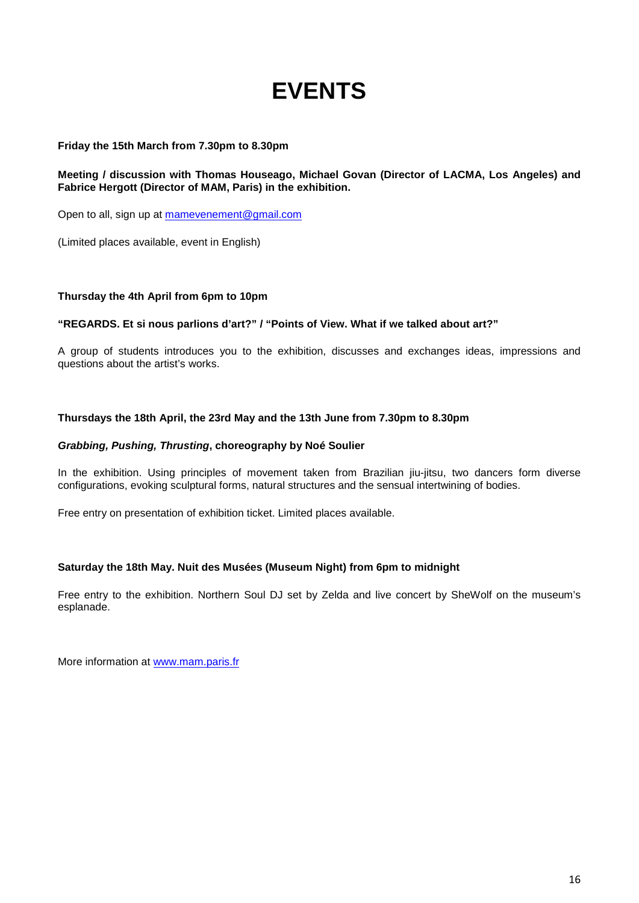# **EVENTS**

#### **Friday the 15th March from 7.30pm to 8.30pm**

#### **Meeting / discussion with Thomas Houseago, Michael Govan (Director of LACMA, Los Angeles) and Fabrice Hergott (Director of MAM, Paris) in the exhibition.**

Open to all, sign up at [mamevenement@gmail.com](mailto:mamevenement@gmail.com)

(Limited places available, event in English)

#### **Thursday the 4th April from 6pm to 10pm**

#### **"REGARDS. Et si nous parlions d'art?" / "Points of View. What if we talked about art?"**

A group of students introduces you to the exhibition, discusses and exchanges ideas, impressions and questions about the artist's works.

#### **Thursdays the 18th April, the 23rd May and the 13th June from 7.30pm to 8.30pm**

#### *Grabbing, Pushing, Thrusting***, choreography by Noé Soulier**

In the exhibition. Using principles of movement taken from Brazilian jiu-jitsu, two dancers form diverse configurations, evoking sculptural forms, natural structures and the sensual intertwining of bodies.

Free entry on presentation of exhibition ticket. Limited places available.

#### **Saturday the 18th May. Nuit des Musées (Museum Night) from 6pm to midnight**

Free entry to the exhibition. Northern Soul DJ set by Zelda and live concert by SheWolf on the museum's esplanade.

More information at [www.mam.paris.fr](http://www.mam.paris.fr/)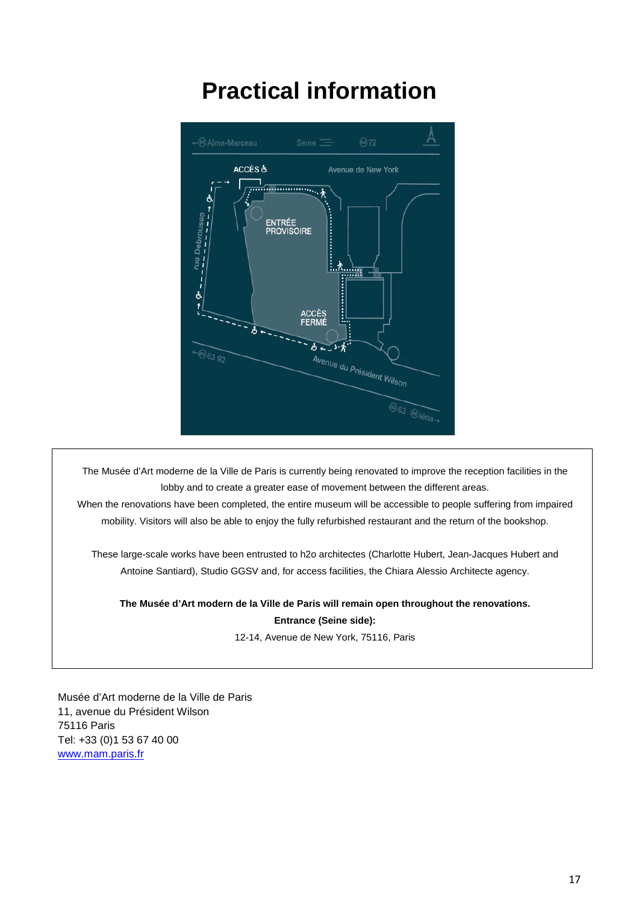# **Practical information**



The Musée d'Art moderne de la Ville de Paris is currently being renovated to improve the reception facilities in the lobby and to create a greater ease of movement between the different areas.

When the renovations have been completed, the entire museum will be accessible to people suffering from impaired mobility. Visitors will also be able to enjoy the fully refurbished restaurant and the return of the bookshop.

These large-scale works have been entrusted to h2o architectes (Charlotte Hubert, Jean-Jacques Hubert and Antoine Santiard), Studio GGSV and, for access facilities, the Chiara Alessio Architecte agency.

#### **The Musée d'Art modern de la Ville de Paris will remain open throughout the renovations.**

**Entrance (Seine side):**

12-14, Avenue de New York, 75116, Paris

Musée d'Art moderne de la Ville de Paris 11, avenue du Président Wilson 75116 Paris Tel: +33 (0)1 53 67 40 00 [www.mam.paris.fr](http://www.mam.paris.fr/)